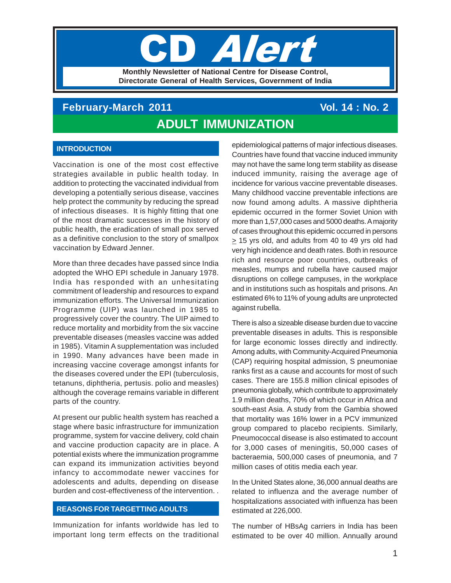# **TIPE Monthly Newsletter of National Centre for Disease Control, Directorate General of Health Services, Government of India**

# **February-March 2011 Vol. 14 : No. 2 ADULT IMMUNIZATION**

# **INTRODUCTION**

Vaccination is one of the most cost effective strategies available in public health today. In addition to protecting the vaccinated individual from developing a potentially serious disease, vaccines help protect the community by reducing the spread of infectious diseases. It is highly fitting that one of the most dramatic successes in the history of public health, the eradication of small pox served as a definitive conclusion to the story of smallpox vaccination by Edward Jenner.

More than three decades have passed since India adopted the WHO EPI schedule in January 1978. India has responded with an unhesitating commitment of leadership and resources to expand immunization efforts. The Universal Immunization Programme (UIP) was launched in 1985 to progressively cover the country. The UIP aimed to reduce mortality and morbidity from the six vaccine preventable diseases (measles vaccine was added in 1985). Vitamin A supplementation was included in 1990. Many advances have been made in increasing vaccine coverage amongst infants for the diseases covered under the EPI (tuberculosis, tetanuns, diphtheria, pertusis. polio and measles) although the coverage remains variable in different parts of the country.

At present our public health system has reached a stage where basic infrastructure for immunization programme, system for vaccine delivery, cold chain and vaccine production capacity are in place. A potential exists where the immunization programme can expand its immunization activities beyond infancy to accommodate newer vaccines for adolescents and adults, depending on disease burden and cost-effectiveness of the intervention. .

## **REASONS FOR TARGETTING ADULTS**

Immunization for infants worldwide has led to important long term effects on the traditional epidemiological patterns of major infectious diseases. Countries have found that vaccine induced immunity may not have the same long term stability as disease induced immunity, raising the average age of incidence for various vaccine preventable diseases. Many childhood vaccine preventable infections are now found among adults. A massive diphtheria epidemic occurred in the former Soviet Union with more than 1,57,000 cases and 5000 deaths. A majority of cases throughout this epidemic occurred in persons  $\geq$  15 yrs old, and adults from 40 to 49 yrs old had very high incidence and death rates. Both in resource rich and resource poor countries, outbreaks of measles, mumps and rubella have caused major disruptions on college campuses, in the workplace and in institutions such as hospitals and prisons. An estimated 6% to 11% of young adults are unprotected against rubella.

There is also a sizeable disease burden due to vaccine preventable diseases in adults. This is responsible for large economic losses directly and indirectly. Among adults, with Community-Acquired Pneumonia (CAP) requiring hospital admission, S pneumoniae ranks first as a cause and accounts for most of such cases. There are 155.8 million clinical episodes of pneumonia globally, which contribute to approximately 1.9 million deaths, 70% of which occur in Africa and south-east Asia. A study from the Gambia showed that mortality was 16% lower in a PCV immunized group compared to placebo recipients. Similarly, Pneumococcal disease is also estimated to account for 3,000 cases of meningitis, 50,000 cases of bacteraemia, 500,000 cases of pneumonia, and 7 million cases of otitis media each year.

In the United States alone, 36,000 annual deaths are related to influenza and the average number of hospitalizations associated with influenza has been estimated at 226,000.

The number of HBsAg carriers in India has been estimated to be over 40 million. Annually around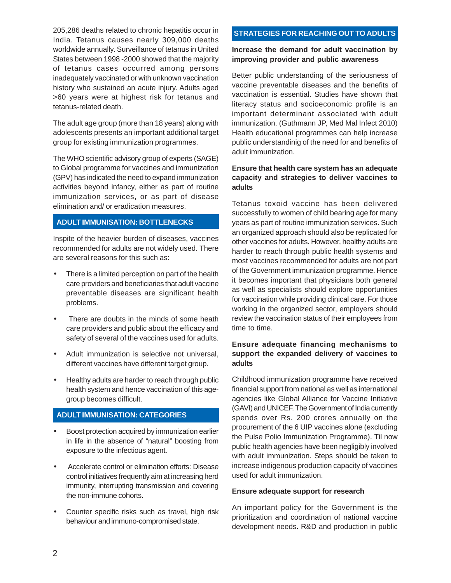205,286 deaths related to chronic hepatitis occur in India. Tetanus causes nearly 309,000 deaths worldwide annually. Surveillance of tetanus in United States between 1998 -2000 showed that the majority of tetanus cases occurred among persons inadequately vaccinated or with unknown vaccination history who sustained an acute injury. Adults aged >60 years were at highest risk for tetanus and tetanus-related death.

The adult age group (more than 18 years) along with adolescents presents an important additional target group for existing immunization programmes.

The WHO scientific advisory group of experts (SAGE) to Global programme for vaccines and immunization (GPV) has indicated the need to expand immunization activities beyond infancy, either as part of routine immunization services, or as part of disease elimination and/ or eradication measures.

## **ADULT IMMUNISATION: BOTTLENECKS**

Inspite of the heavier burden of diseases, vaccines recommended for adults are not widely used. There are several reasons for this such as:

- There is a limited perception on part of the health care providers and beneficiaries that adult vaccine preventable diseases are significant health problems.
- There are doubts in the minds of some heath care providers and public about the efficacy and safety of several of the vaccines used for adults.
- Adult immunization is selective not universal, different vaccines have different target group.
- Healthy adults are harder to reach through public health system and hence vaccination of this agegroup becomes difficult.

## **ADULT IMMUNISATION: CATEGORIES**

- Boost protection acquired by immunization earlier in life in the absence of "natural" boosting from exposure to the infectious agent.
- Accelerate control or elimination efforts: Disease control initiatives frequently aim at increasing herd immunity, interrupting transmission and covering the non-immune cohorts.
- Counter specific risks such as travel, high risk behaviour and immuno-compromised state.

# **STRATEGIES FOR REACHING OUT TO ADULTS**

## **Increase the demand for adult vaccination by improving provider and public awareness**

Better public understanding of the seriousness of vaccine preventable diseases and the benefits of vaccination is essential. Studies have shown that literacy status and socioeconomic profile is an important determinant associated with adult immunization. (Guthmann JP, Med Mal Infect 2010) Health educational programmes can help increase public understandinig of the need for and benefits of adult immunization.

## **Ensure that health care system has an adequate capacity and strategies to deliver vaccines to adults**

Tetanus toxoid vaccine has been delivered successfully to women of child bearing age for many years as part of routine immunization services. Such an organized approach should also be replicated for other vaccines for adults. However, healthy adults are harder to reach through public health systems and most vaccines recommended for adults are not part of the Government immunization programme. Hence it becomes important that physicians both general as well as specialists should explore opportunities for vaccination while providing clinical care. For those working in the organized sector, employers should review the vaccination status of their employees from time to time.

## **Ensure adequate financing mechanisms to support the expanded delivery of vaccines to adults**

Childhood immunization programme have received financial support from national as well as international agencies like Global Alliance for Vaccine Initiative (GAVI) and UNICEF. The Government of India currently spends over Rs. 200 crores annually on the procurement of the 6 UIP vaccines alone (excluding the Pulse Polio Immunization Programme). Til now public health agencies have been negligibly involved with adult immunization. Steps should be taken to increase indigenous production capacity of vaccines used for adult immunization.

## **Ensure adequate support for research**

An important policy for the Government is the prioritization and coordination of national vaccine development needs. R&D and production in public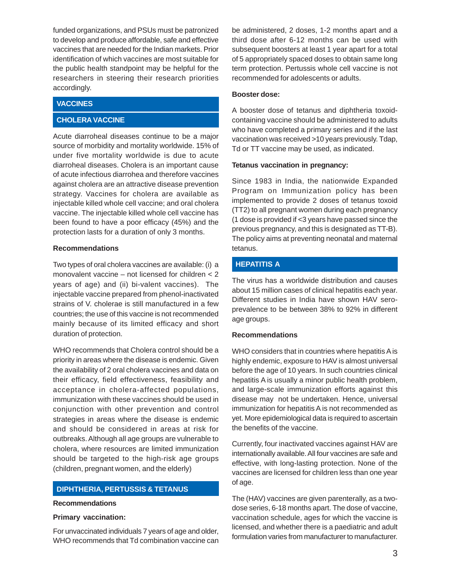funded organizations, and PSUs must be patronized to develop and produce affordable, safe and effective vaccines that are needed for the Indian markets. Prior identification of which vaccines are most suitable for the public health standpoint may be helpful for the researchers in steering their research priorities accordingly.

## **VACCINES**

## **CHOLERA VACCINE**

Acute diarroheal diseases continue to be a major source of morbidity and mortality worldwide. 15% of under five mortality worldwide is due to acute diarroheal diseases. Cholera is an important cause of acute infectious diarrohea and therefore vaccines against cholera are an attractive disease prevention strategy. Vaccines for cholera are available as injectable killed whole cell vaccine; and oral cholera vaccine. The injectable killed whole cell vaccine has been found to have a poor efficacy (45%) and the protection lasts for a duration of only 3 months.

### **Recommendations**

Two types of oral cholera vaccines are available: (i) a monovalent vaccine – not licensed for children < 2 years of age) and (ii) bi-valent vaccines). The injectable vaccine prepared from phenol-inactivated strains of V. cholerae is still manufactured in a few countries; the use of this vaccine is not recommended mainly because of its limited efficacy and short duration of protection.

WHO recommends that Cholera control should be a priority in areas where the disease is endemic. Given the availability of 2 oral cholera vaccines and data on their efficacy, field effectiveness, feasibility and acceptance in cholera-affected populations, immunization with these vaccines should be used in conjunction with other prevention and control strategies in areas where the disease is endemic and should be considered in areas at risk for outbreaks. Although all age groups are vulnerable to cholera, where resources are limited immunization should be targeted to the high-risk age groups (children, pregnant women, and the elderly)

## **DIPHTHERIA, PERTUSSIS & TETANUS**

#### **Recommendations**

#### **Primary vaccination:**

For unvaccinated individuals 7 years of age and older, WHO recommends that Td combination vaccine can be administered, 2 doses, 1-2 months apart and a third dose after 6-12 months can be used with subsequent boosters at least 1 year apart for a total of 5 appropriately spaced doses to obtain same long term protection. Pertussis whole cell vaccine is not recommended for adolescents or adults.

#### **Booster dose:**

A booster dose of tetanus and diphtheria toxoidcontaining vaccine should be administered to adults who have completed a primary series and if the last vaccination was received >10 years previously. Tdap, Td or TT vaccine may be used, as indicated.

#### **Tetanus vaccination in pregnancy:**

Since 1983 in India, the nationwide Expanded Program on Immunization policy has been implemented to provide 2 doses of tetanus toxoid (TT2) to all pregnant women during each pregnancy (1 dose is provided if <3 years have passed since the previous pregnancy, and this is designated as TT-B). The policy aims at preventing neonatal and maternal tetanus.

# **HEPATITIS A**

The virus has a worldwide distribution and causes about 15 million cases of clinical hepatitis each year. Different studies in India have shown HAV seroprevalence to be between 38% to 92% in different age groups.

#### **Recommendations**

WHO considers that in countries where hepatitis A is highly endemic, exposure to HAV is almost universal before the age of 10 years. In such countries clinical hepatitis A is usually a minor public health problem, and large-scale immunization efforts against this disease may not be undertaken. Hence, universal immunization for hepatitis A is not recommended as yet. More epidemiological data is required to ascertain the benefits of the vaccine.

Currently, four inactivated vaccines against HAV are internationally available. All four vaccines are safe and effective, with long-lasting protection. None of the vaccines are licensed for children less than one year of age.

The (HAV) vaccines are given parenterally, as a twodose series, 6-18 months apart. The dose of vaccine, vaccination schedule, ages for which the vaccine is licensed, and whether there is a paediatric and adult formulation varies from manufacturer to manufacturer.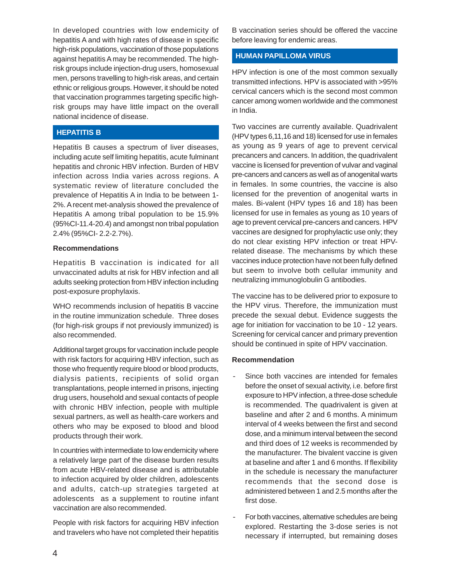In developed countries with low endemicity of hepatitis A and with high rates of disease in specific high-risk populations, vaccination of those populations against hepatitis A may be recommended. The highrisk groups include injection-drug users, homosexual men, persons travelling to high-risk areas, and certain ethnic or religious groups. However, it should be noted that vaccination programmes targeting specific highrisk groups may have little impact on the overall national incidence of disease.

## **HEPATITIS B**

Hepatitis B causes a spectrum of liver diseases, including acute self limiting hepatitis, acute fulminant hepatitis and chronic HBV infection. Burden of HBV infection across India varies across regions. A systematic review of literature concluded the prevalence of Hepatitis A in India to be between 1- 2%. A recent met-analysis showed the prevalence of Hepatitis A among tribal population to be 15.9% (95%CI-11.4-20.4) and amongst non tribal population 2.4% (95%CI- 2.2-2.7%).

#### **Recommendations**

Hepatitis B vaccination is indicated for all unvaccinated adults at risk for HBV infection and all adults seeking protection from HBV infection including post-exposure prophylaxis.

WHO recommends inclusion of hepatitis B vaccine in the routine immunization schedule. Three doses (for high-risk groups if not previously immunized) is also recommended.

Additional target groups for vaccination include people with risk factors for acquiring HBV infection, such as those who frequently require blood or blood products, dialysis patients, recipients of solid organ transplantations, people interned in prisons, injecting drug users, household and sexual contacts of people with chronic HBV infection, people with multiple sexual partners, as well as health-care workers and others who may be exposed to blood and blood products through their work.

In countries with intermediate to low endemicity where a relatively large part of the disease burden results from acute HBV-related disease and is attributable to infection acquired by older children, adolescents and adults, catch-up strategies targeted at adolescents as a supplement to routine infant vaccination are also recommended.

People with risk factors for acquiring HBV infection and travelers who have not completed their hepatitis

B vaccination series should be offered the vaccine before leaving for endemic areas.

### **HUMAN PAPILLOMA VIRUS**

HPV infection is one of the most common sexually transmitted infections. HPV is associated with >95% cervical cancers which is the second most common cancer among women worldwide and the commonest in India.

Two vaccines are currently available. Quadrivalent (HPV types 6,11,16 and 18) licensed for use in females as young as 9 years of age to prevent cervical precancers and cancers. In addition, the quadrivalent vaccine is licensed for prevention of vulvar and vaginal pre-cancers and cancers as well as of anogenital warts in females. In some countries, the vaccine is also licensed for the prevention of anogenital warts in males. Bi-valent (HPV types 16 and 18) has been licensed for use in females as young as 10 years of age to prevent cervical pre-cancers and cancers. HPV vaccines are designed for prophylactic use only; they do not clear existing HPV infection or treat HPVrelated disease. The mechanisms by which these vaccines induce protection have not been fully defined but seem to involve both cellular immunity and neutralizing immunoglobulin G antibodies.

The vaccine has to be delivered prior to exposure to the HPV virus. Therefore, the immunization must precede the sexual debut. Evidence suggests the age for initiation for vaccination to be 10 - 12 years. Screening for cervical cancer and primary prevention should be continued in spite of HPV vaccination.

#### **Recommendation**

- Since both vaccines are intended for females before the onset of sexual activity, i.e. before first exposure to HPV infection, a three-dose schedule is recommended. The quadrivalent is given at baseline and after 2 and 6 months. A minimum interval of 4 weeks between the first and second dose, and a minimum interval between the second and third does of 12 weeks is recommended by the manufacturer. The bivalent vaccine is given at baseline and after 1 and 6 months. If flexibility in the schedule is necessary the manufacturer recommends that the second dose is administered between 1 and 2.5 months after the first dose.
- For both vaccines, alternative schedules are being explored. Restarting the 3-dose series is not necessary if interrupted, but remaining doses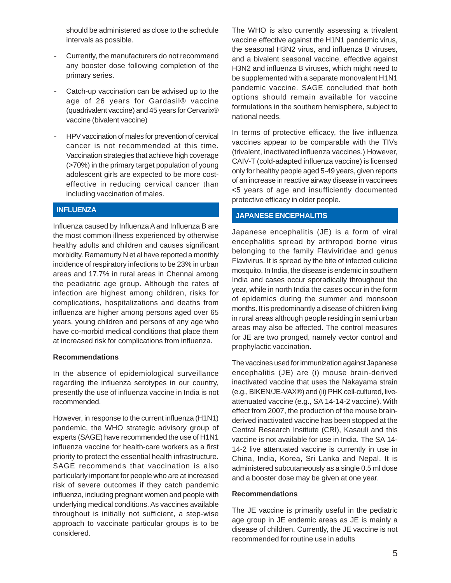should be administered as close to the schedule intervals as possible.

- Currently, the manufacturers do not recommend any booster dose following completion of the primary series.
- Catch-up vaccination can be advised up to the age of 26 years for Gardasil® vaccine (quadrivalent vaccine) and 45 years for Cervarix® vaccine (bivalent vaccine)
- HPV vaccination of males for prevention of cervical cancer is not recommended at this time. Vaccination strategies that achieve high coverage (>70%) in the primary target population of young adolescent girls are expected to be more costeffective in reducing cervical cancer than including vaccination of males.

## **INFLUENZA**

Influenza caused by Influenza A and Influenza B are the most common illness experienced by otherwise healthy adults and children and causes significant morbidity. Ramamurty N et al have reported a monthly incidence of respiratory infections to be 23% in urban areas and 17.7% in rural areas in Chennai among the peadiatric age group. Although the rates of infection are highest among children, risks for complications, hospitalizations and deaths from influenza are higher among persons aged over 65 years, young children and persons of any age who have co-morbid medical conditions that place them at increased risk for complications from influenza.

#### **Recommendations**

In the absence of epidemiological surveillance regarding the influenza serotypes in our country, presently the use of influenza vaccine in India is not recommended.

However, in response to the current influenza (H1N1) pandemic, the WHO strategic advisory group of experts (SAGE) have recommended the use of H1N1 influenza vaccine for health-care workers as a first priority to protect the essential health infrastructure. SAGE recommends that vaccination is also particularly important for people who are at increased risk of severe outcomes if they catch pandemic influenza, including pregnant women and people with underlying medical conditions. As vaccines available throughout is initially not sufficient, a step-wise approach to vaccinate particular groups is to be considered.

The WHO is also currently assessing a trivalent vaccine effective against the H1N1 pandemic virus, the seasonal H3N2 virus, and influenza B viruses, and a bivalent seasonal vaccine, effective against H3N2 and influenza B viruses, which might need to be supplemented with a separate monovalent H1N1 pandemic vaccine. SAGE concluded that both options should remain available for vaccine formulations in the southern hemisphere, subject to national needs.

In terms of protective efficacy, the live influenza vaccines appear to be comparable with the TIVs (trivalent, inactivated influenza vaccines.) However, CAIV-T (cold-adapted influenza vaccine) is licensed only for healthy people aged 5-49 years, given reports of an increase in reactive airway disease in vaccinees <5 years of age and insufficiently documented protective efficacy in older people.

## **JAPANESE ENCEPHALITIS**

Japanese encephalitis (JE) is a form of viral encephalitis spread by arthropod borne virus belonging to the family Flaviviridae and genus Flavivirus. It is spread by the bite of infected culicine mosquito. In India, the disease is endemic in southern India and cases occur sporadically throughout the year, while in north India the cases occur in the form of epidemics during the summer and monsoon months. It is predominantly a disease of children living in rural areas although people residing in semi urban areas may also be affected. The control measures for JE are two pronged, namely vector control and prophylactic vaccination.

The vaccines used for immunization against Japanese encephalitis (JE) are (i) mouse brain-derived inactivated vaccine that uses the Nakayama strain (e.g., BIKEN/JE-VAX®) and (ii) PHK cell-cultured, liveattenuated vaccine (e.g., SA 14-14-2 vaccine). With effect from 2007, the production of the mouse brainderived inactivated vaccine has been stopped at the Central Research Institute (CRI), Kasauli and this vaccine is not available for use in India. The SA 14- 14-2 live attenuated vaccine is currently in use in China, India, Korea, Sri Lanka and Nepal. It is administered subcutaneously as a single 0.5 ml dose and a booster dose may be given at one year.

#### **Recommendations**

The JE vaccine is primarily useful in the pediatric age group in JE endemic areas as JE is mainly a disease of children. Currently, the JE vaccine is not recommended for routine use in adults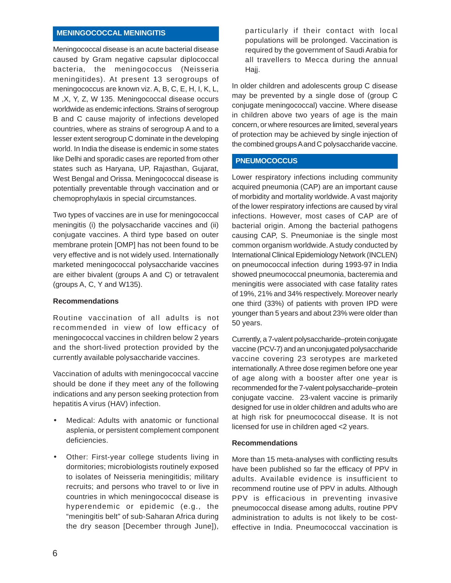# **MENINGOCOCCAL MENINGITIS**

Meningococcal disease is an acute bacterial disease caused by Gram negative capsular diplococcal bacteria, the meningococcus (Neisseria meningitides). At present 13 serogroups of meningococcus are known viz. A, B, C, E, H, I, K, L, M ,X, Y, Z, W 135. Meningococcal disease occurs worldwide as endemic infections. Strains of serogroup B and C cause majority of infections developed countries, where as strains of serogroup A and to a lesser extent serogroup C dominate in the developing world. In India the disease is endemic in some states like Delhi and sporadic cases are reported from other states such as Haryana, UP, Rajasthan, Gujarat, West Bengal and Orissa. Meningococcal disease is potentially preventable through vaccination and or chemoprophylaxis in special circumstances.

Two types of vaccines are in use for meningococcal meningitis (i) the polysaccharide vaccines and (ii) conjugate vaccines. A third type based on outer membrane protein [OMP] has not been found to be very effective and is not widely used. Internationally marketed meningococcal polysaccharide vaccines are either bivalent (groups A and C) or tetravalent (groups A, C, Y and W135).

#### **Recommendations**

Routine vaccination of all adults is not recommended in view of low efficacy of meningococcal vaccines in children below 2 years and the short-lived protection provided by the currently available polysaccharide vaccines.

Vaccination of adults with meningococcal vaccine should be done if they meet any of the following indications and any person seeking protection from hepatitis A virus (HAV) infection.

- Medical: Adults with anatomic or functional asplenia, or persistent complement component deficiencies.
- Other: First-year college students living in dormitories; microbiologists routinely exposed to isolates of Neisseria meningitidis; military recruits; and persons who travel to or live in countries in which meningococcal disease is hyperendemic or epidemic (e.g., the "meningitis belt" of sub-Saharan Africa during the dry season [December through June]),

particularly if their contact with local populations will be prolonged. Vaccination is required by the government of Saudi Arabia for all travellers to Mecca during the annual Hajj.

In older children and adolescents group C disease may be prevented by a single dose of (group C conjugate meningococcal) vaccine. Where disease in children above two years of age is the main concern, or where resources are limited, several years of protection may be achieved by single injection of the combined groups A and C polysaccharide vaccine.

## **PNEUMOCOCCUS**

Lower respiratory infections including community acquired pneumonia (CAP) are an important cause of morbidity and mortality worldwide. A vast majority of the lower respiratory infections are caused by viral infections. However, most cases of CAP are of bacterial origin. Among the bacterial pathogens causing CAP, S. Pneumoniae is the single most common organism worldwide. A study conducted by International Clinical Epidemiology Network (INCLEN) on pneumococcal infection during 1993-97 in India showed pneumococcal pneumonia, bacteremia and meningitis were associated with case fatality rates of 19%, 21% and 34% respectively. Moreover nearly one third (33%) of patients with proven IPD were younger than 5 years and about 23% were older than 50 years.

Currently, a 7-valent polysaccharide–protein conjugate vaccine (PCV-7) and an unconjugated polysaccharide vaccine covering 23 serotypes are marketed internationally. A three dose regimen before one year of age along with a booster after one year is recommended for the 7-valent polysaccharide–protein conjugate vaccine. 23-valent vaccine is primarily designed for use in older children and adults who are at high risk for pneumococcal disease. It is not licensed for use in children aged <2 years.

## **Recommendations**

More than 15 meta-analyses with conflicting results have been published so far the efficacy of PPV in adults. Available evidence is insufficient to recommend routine use of PPV in adults. Although PPV is efficacious in preventing invasive pneumococcal disease among adults, routine PPV administration to adults is not likely to be costeffective in India. Pneumococcal vaccination is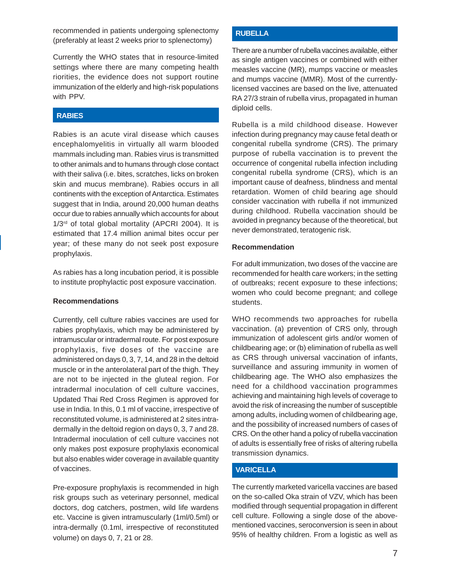recommended in patients undergoing splenectomy (preferably at least 2 weeks prior to splenectomy)

Currently the WHO states that in resource-limited settings where there are many competing health riorities, the evidence does not support routine immunization of the elderly and high-risk populations with PPV.

## **RABIES**

Rabies is an acute viral disease which causes encephalomyelitis in virtually all warm blooded mammals including man. Rabies virus is transmitted to other animals and to humans through close contact with their saliva (i.e. bites, scratches, licks on broken skin and mucus membrane). Rabies occurs in all continents with the exception of Antarctica. Estimates suggest that in India, around 20,000 human deaths occur due to rabies annually which accounts for about 1/3<sup>rd</sup> of total global mortality (APCRI 2004). It is estimated that 17.4 million animal bites occur per year; of these many do not seek post exposure prophylaxis.

As rabies has a long incubation period, it is possible to institute prophylactic post exposure vaccination.

#### **Recommendations**

Currently, cell culture rabies vaccines are used for rabies prophylaxis, which may be administered by intramuscular or intradermal route. For post exposure prophylaxis, five doses of the vaccine are administered on days 0, 3, 7, 14, and 28 in the deltoid muscle or in the anterolateral part of the thigh. They are not to be injected in the gluteal region. For intradermal inoculation of cell culture vaccines, Updated Thai Red Cross Regimen is approved for use in India. In this, 0.1 ml of vaccine, irrespective of reconstituted volume, is administered at 2 sites intradermally in the deltoid region on days 0, 3, 7 and 28. Intradermal inoculation of cell culture vaccines not only makes post exposure prophylaxis economical but also enables wider coverage in available quantity of vaccines.

Pre-exposure prophylaxis is recommended in high risk groups such as veterinary personnel, medical doctors, dog catchers, postmen, wild life wardens etc. Vaccine is given intramuscularly (1ml/0.5ml) or intra-dermally (0.1ml, irrespective of reconstituted volume) on days 0, 7, 21 or 28.

## **RUBELLA**

There are a number of rubella vaccines available, either as single antigen vaccines or combined with either measles vaccine (MR), mumps vaccine or measles and mumps vaccine (MMR). Most of the currentlylicensed vaccines are based on the live, attenuated RA 27/3 strain of rubella virus, propagated in human diploid cells.

Rubella is a mild childhood disease. However infection during pregnancy may cause fetal death or congenital rubella syndrome (CRS). The primary purpose of rubella vaccination is to prevent the occurrence of congenital rubella infection including congenital rubella syndrome (CRS), which is an important cause of deafness, blindness and mental retardation. Women of child bearing age should consider vaccination with rubella if not immunized during childhood. Rubella vaccination should be avoided in pregnancy because of the theoretical, but never demonstrated, teratogenic risk.

#### **Recommendation**

For adult immunization, two doses of the vaccine are recommended for health care workers; in the setting of outbreaks; recent exposure to these infections; women who could become pregnant; and college students.

WHO recommends two approaches for rubella vaccination. (a) prevention of CRS only, through immunization of adolescent girls and/or women of childbearing age; or (b) elimination of rubella as well as CRS through universal vaccination of infants, surveillance and assuring immunity in women of childbearing age. The WHO also emphasizes the need for a childhood vaccination programmes achieving and maintaining high levels of coverage to avoid the risk of increasing the number of susceptible among adults, including women of childbearing age, and the possibility of increased numbers of cases of CRS. On the other hand a policy of rubella vaccination of adults is essentially free of risks of altering rubella transmission dynamics.

#### **VARICELLA**

The currently marketed varicella vaccines are based on the so-called Oka strain of VZV, which has been modified through sequential propagation in different cell culture. Following a single dose of the abovementioned vaccines, seroconversion is seen in about 95% of healthy children. From a logistic as well as